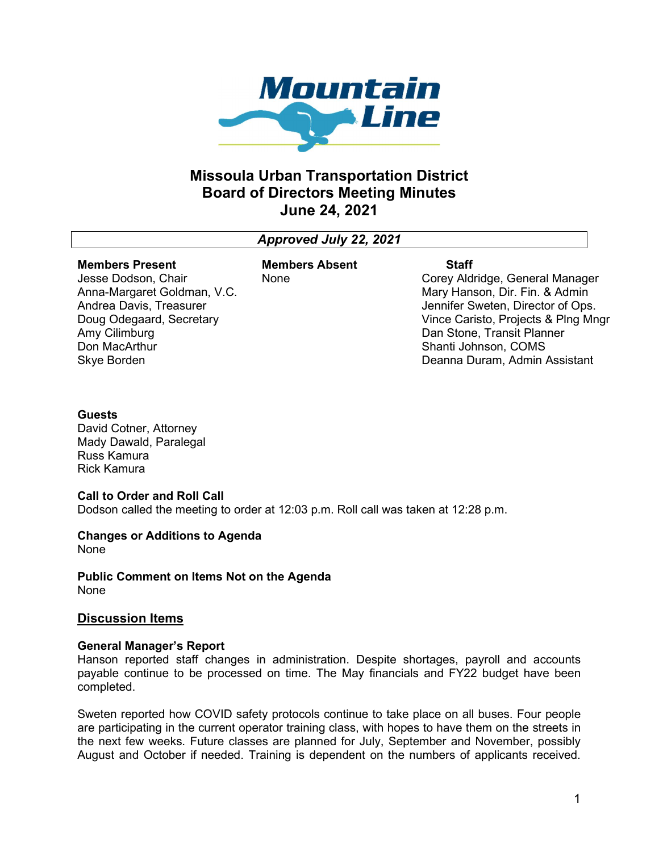

# Missoula Urban Transportation District Board of Directors Meeting Minutes June 24, 2021

## Approved July 22, 2021

## Members Present

#### Members Absent None

Jesse Dodson, Chair Anna-Margaret Goldman, V.C. Andrea Davis, Treasurer Doug Odegaard, Secretary Amy Cilimburg Don MacArthur Skye Borden

**Staff** Corey Aldridge, General Manager Mary Hanson, Dir. Fin. & Admin Jennifer Sweten, Director of Ops. Vince Caristo, Projects & Plng Mngr Dan Stone, Transit Planner Shanti Johnson, COMS Deanna Duram, Admin Assistant

## **Guests**

David Cotner, Attorney Mady Dawald, Paralegal Russ Kamura Rick Kamura

#### Call to Order and Roll Call

Dodson called the meeting to order at 12:03 p.m. Roll call was taken at 12:28 p.m.

## Changes or Additions to Agenda

None

Public Comment on Items Not on the Agenda None

## Discussion Items

#### General Manager's Report

Hanson reported staff changes in administration. Despite shortages, payroll and accounts payable continue to be processed on time. The May financials and FY22 budget have been completed.

Sweten reported how COVID safety protocols continue to take place on all buses. Four people are participating in the current operator training class, with hopes to have them on the streets in the next few weeks. Future classes are planned for July, September and November, possibly August and October if needed. Training is dependent on the numbers of applicants received.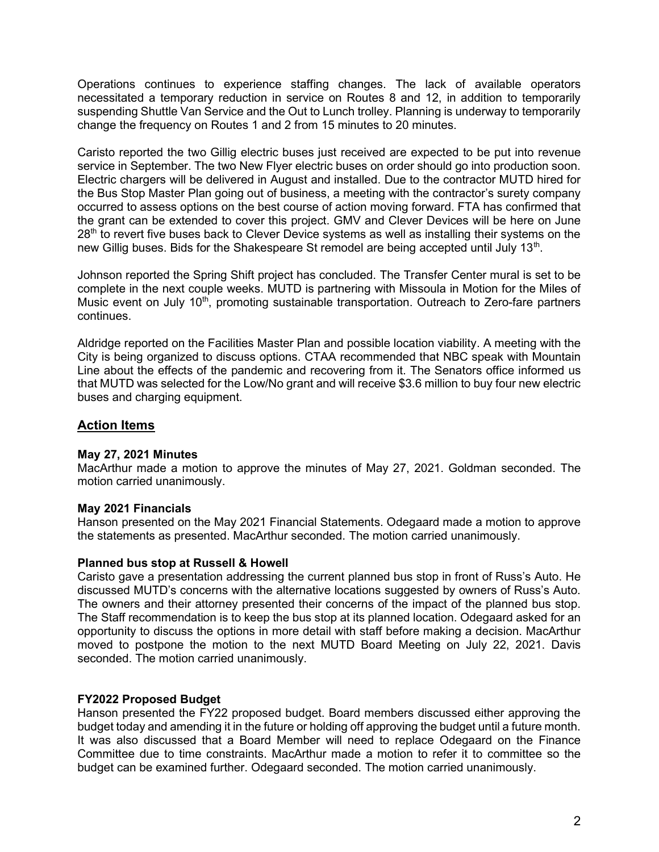Operations continues to experience staffing changes. The lack of available operators necessitated a temporary reduction in service on Routes 8 and 12, in addition to temporarily suspending Shuttle Van Service and the Out to Lunch trolley. Planning is underway to temporarily change the frequency on Routes 1 and 2 from 15 minutes to 20 minutes.

Caristo reported the two Gillig electric buses just received are expected to be put into revenue service in September. The two New Flyer electric buses on order should go into production soon. Electric chargers will be delivered in August and installed. Due to the contractor MUTD hired for the Bus Stop Master Plan going out of business, a meeting with the contractor's surety company occurred to assess options on the best course of action moving forward. FTA has confirmed that the grant can be extended to cover this project. GMV and Clever Devices will be here on June 28<sup>th</sup> to revert five buses back to Clever Device systems as well as installing their systems on the new Gillig buses. Bids for the Shakespeare St remodel are being accepted until July 13<sup>th</sup>.

Johnson reported the Spring Shift project has concluded. The Transfer Center mural is set to be complete in the next couple weeks. MUTD is partnering with Missoula in Motion for the Miles of Music event on July 10<sup>th</sup>, promoting sustainable transportation. Outreach to Zero-fare partners continues.

Aldridge reported on the Facilities Master Plan and possible location viability. A meeting with the City is being organized to discuss options. CTAA recommended that NBC speak with Mountain Line about the effects of the pandemic and recovering from it. The Senators office informed us that MUTD was selected for the Low/No grant and will receive \$3.6 million to buy four new electric buses and charging equipment.

## Action Items

## May 27, 2021 Minutes

MacArthur made a motion to approve the minutes of May 27, 2021. Goldman seconded. The motion carried unanimously.

## May 2021 Financials

Hanson presented on the May 2021 Financial Statements. Odegaard made a motion to approve the statements as presented. MacArthur seconded. The motion carried unanimously.

## Planned bus stop at Russell & Howell

Caristo gave a presentation addressing the current planned bus stop in front of Russ's Auto. He discussed MUTD's concerns with the alternative locations suggested by owners of Russ's Auto. The owners and their attorney presented their concerns of the impact of the planned bus stop. The Staff recommendation is to keep the bus stop at its planned location. Odegaard asked for an opportunity to discuss the options in more detail with staff before making a decision. MacArthur moved to postpone the motion to the next MUTD Board Meeting on July 22, 2021. Davis seconded. The motion carried unanimously.

## FY2022 Proposed Budget

Hanson presented the FY22 proposed budget. Board members discussed either approving the budget today and amending it in the future or holding off approving the budget until a future month. It was also discussed that a Board Member will need to replace Odegaard on the Finance Committee due to time constraints. MacArthur made a motion to refer it to committee so the budget can be examined further. Odegaard seconded. The motion carried unanimously.